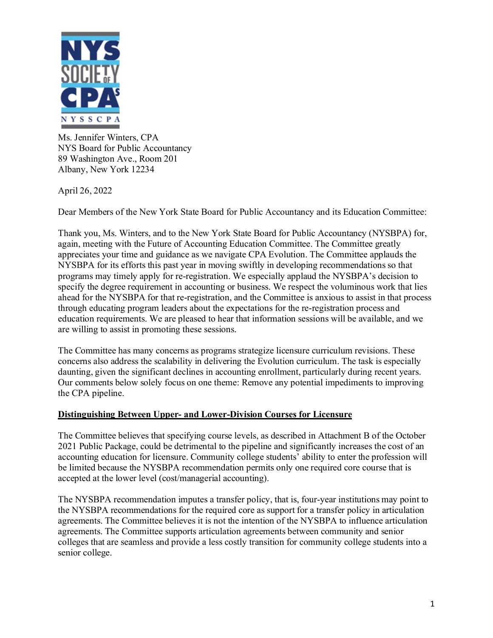

Ms. Jennifer Winters, CPA NYS Board for Public Accountancy 89 Washington Ave., Room 201 Albany, New York 12234

April 26, 2022

Dear Members of the New York State Board for Public Accountancy and its Education Committee:

Thank you, Ms. Winters, and to the New York State Board for Public Accountancy (NYSBPA) for, again, meeting with the Future of Accounting Education Committee. The Committee greatly appreciates your time and guidance as we navigate CPA Evolution. The Committee applauds the NYSBPA for its efforts this past year in moving swiftly in developing recommendations so that programs may timely apply for re-registration. We especially applaud the NYSBPA's decision to specify the degree requirement in accounting or business. We respect the voluminous work that lies ahead for the NYSBPA for that re-registration, and the Committee is anxious to assist in that process through educating program leaders about the expectations for the re-registration process and education requirements. We are pleased to hear that information sessions will be available, and we are willing to assist in promoting these sessions.

The Committee has many concerns as programs strategize licensure curriculum revisions. These concerns also address the scalability in delivering the Evolution curriculum. The task is especially daunting, given the significant declines in accounting enrollment, particularly during recent years. Our comments below solely focus on one theme: Remove any potential impediments to improving the CPA pipeline.

### **Distinguishing Between Upper- and Lower-Division Courses for Licensure**

The Committee believes that specifying course levels, as described in Attachment B of the October 2021 Public Package, could be detrimental to the pipeline and significantly increases the cost of an accounting education for licensure. Community college students' ability to enter the profession will be limited because the NYSBPA recommendation permits only one required core course that is accepted at the lower level (cost/managerial accounting).

The NYSBPA recommendation imputes a transfer policy, that is, four-year institutions may point to the NYSBPA recommendations for the required core as support for a transfer policy in articulation agreements. The Committee believes it is not the intention of the NYSBPA to influence articulation agreements. The Committee supports articulation agreements between community and senior colleges that are seamless and provide a less costly transition for community college students into a senior college.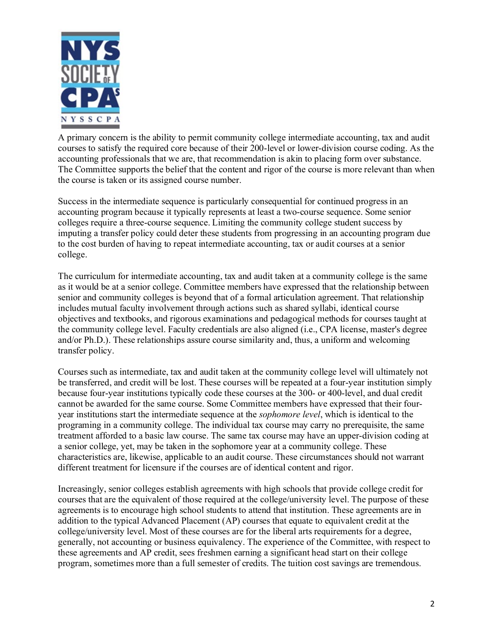

A primary concern is the ability to permit community college intermediate accounting, tax and audit courses to satisfy the required core because of their 200-level or lower-division course coding. As the accounting professionals that we are, that recommendation is akin to placing form over substance. The Committee supports the belief that the content and rigor of the course is more relevant than when the course is taken or its assigned course number.

Success in the intermediate sequence is particularly consequential for continued progress in an accounting program because it typically represents at least a two-course sequence. Some senior colleges require a three-course sequence. Limiting the community college student success by imputing a transfer policy could deter these students from progressing in an accounting program due to the cost burden of having to repeat intermediate accounting, tax or audit courses at a senior college.

The curriculum for intermediate accounting, tax and audit taken at a community college is the same as it would be at a senior college. Committee members have expressed that the relationship between senior and community colleges is beyond that of a formal articulation agreement. That relationship includes mutual faculty involvement through actions such as shared syllabi, identical course objectives and textbooks, and rigorous examinations and pedagogical methods for courses taught at the community college level. Faculty credentials are also aligned (i.e., CPA license, master's degree and/or Ph.D.). These relationships assure course similarity and, thus, a uniform and welcoming transfer policy.

Courses such as intermediate, tax and audit taken at the community college level will ultimately not be transferred, and credit will be lost. These courses will be repeated at a four-year institution simply because four-year institutions typically code these courses at the 300- or 400-level, and dual credit cannot be awarded for the same course. Some Committee members have expressed that their fouryear institutions start the intermediate sequence at the *sophomore level*, which is identical to the programing in a community college. The individual tax course may carry no prerequisite, the same treatment afforded to a basic law course. The same tax course may have an upper-division coding at a senior college, yet, may be taken in the sophomore year at a community college. These characteristics are, likewise, applicable to an audit course. These circumstances should not warrant different treatment for licensure if the courses are of identical content and rigor.

Increasingly, senior colleges establish agreements with high schools that provide college credit for courses that are the equivalent of those required at the college/university level. The purpose of these agreements is to encourage high school students to attend that institution. These agreements are in addition to the typical Advanced Placement (AP) courses that equate to equivalent credit at the college/university level. Most of these courses are for the liberal arts requirements for a degree, generally, not accounting or business equivalency. The experience of the Committee, with respect to these agreements and AP credit, sees freshmen earning a significant head start on their college program, sometimes more than a full semester of credits. The tuition cost savings are tremendous.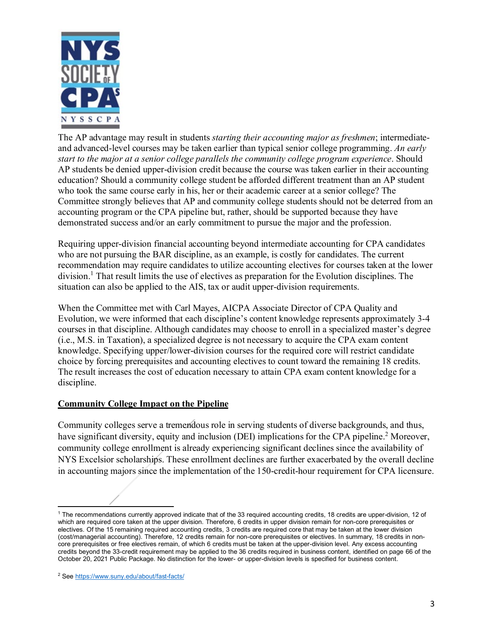

The AP advantage may result in students *starting their accounting major as freshmen*; intermediateand advanced-level courses may be taken earlier than typical senior college programming. *An early start to the major at a senior college parallels the community college program experience*. Should AP students be denied upper-division credit because the course was taken earlier in their accounting education? Should a community college student be afforded different treatment than an AP student who took the same course early in his, her or their academic career at a senior college? The Committee strongly believes that AP and community college students should not be deterred from an accounting program or the CPA pipeline but, rather, should be supported because they have demonstrated success and/or an early commitment to pursue the major and the profession.

Requiring upper-division financial accounting beyond intermediate accounting for CPA candidates who are not pursuing the BAR discipline, as an example, is costly for candidates. The current recommendation may require candidates to utilize accounting electives for courses taken at the lower division.<sup>1</sup> That result limits the use of electives as preparation for the Evolution disciplines. The situation can also be applied to the AIS, tax or audit upper-division requirements.

When the Committee met with Carl Mayes, AICPA Associate Director of CPA Quality and Evolution, we were informed that each discipline's content knowledge represents approximately 3-4 courses in that discipline. Although candidates may choose to enroll in a specialized master's degree (i.e., M.S. in Taxation), a specialized degree is not necessary to acquire the CPA exam content knowledge. Specifying upper/lower-division courses for the required core will restrict candidate choice by forcing prerequisites and accounting electives to count toward the remaining 18 credits. The result increases the cost of education necessary to attain CPA exam content knowledge for a discipline.

### **Community College Impact on the Pipeline**

Community colleges serve a tremendous role in serving students of diverse backgrounds, and thus, have significant diversity, equity and inclusion (DEI) implications for the CPA pipeline.<sup>2</sup> Moreover, community college enrollment is already experiencing significant declines since the availability of NYS Excelsior scholarships. These enrollment declines are further exacerbated by the overall decline in accounting majors since the implementation of the 150-credit-hour requirement for CPA licensure.

<span id="page-2-0"></span><sup>&</sup>lt;sup>1</sup> The recommendations currently approved indicate that of the 33 required accounting credits, 18 credits are upper-division, 12 of which are required core taken at the upper division. Therefore, 6 credits in upper division remain for non-core prerequisites or electives. Of the 15 remaining required accounting credits, 3 credits are required core that may be taken at the lower division (cost/managerial accounting). Therefore, 12 credits remain for non-core prerequisites or electives. In summary, 18 credits in noncore prerequisites or free electives remain, of which 6 credits must be taken at the upper-division level. Any excess accounting credits beyond the 33-credit requirement may be applied to the 36 credits required in business content, identified on page 66 of the October 20, 2021 Public Package. No distinction for the lower- or upper-division levels is specified for business content.

<span id="page-2-1"></span><sup>2</sup> Se[e https://www.suny.edu/about/fast-facts/](https://www.suny.edu/about/fast-facts/)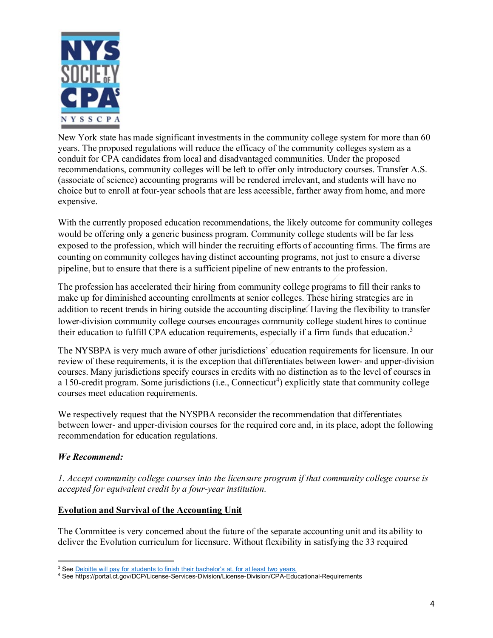

New York state has made significant investments in the community college system for more than 60 years. The proposed regulations will reduce the efficacy of the community colleges system as a conduit for CPA candidates from local and disadvantaged communities. Under the proposed recommendations, community colleges will be left to offer only introductory courses. Transfer A.S. (associate of science) accounting programs will be rendered irrelevant, and students will have no choice but to enroll at four-year schools that are less accessible, farther away from home, and more expensive.

With the currently proposed education recommendations, the likely outcome for community colleges would be offering only a generic business program. Community college students will be far less exposed to the profession, which will hinder the recruiting efforts of accounting firms. The firms are counting on community colleges having distinct accounting programs, not just to ensure a diverse pipeline, but to ensure that there is a sufficient pipeline of new entrants to the profession.

The profession has accelerated their hiring from community college programs to fill their ranks to make up for diminished accounting enrollments at senior colleges. These hiring strategies are in addition to recent trends in hiring outside the accounting discipline. Having the flexibility to transfer lower-division community college courses encourages community college student hires to continue their education to fulfill CPA education requirements, especially if a firm funds that education.<sup>[3](#page-3-0)</sup>

The NYSBPA is very much aware of other jurisdictions' education requirements for licensure. In our review of these requirements, it is the exception that differentiates between lower- and upper-division courses. Many jurisdictions specify courses in credits with no distinction as to the level of courses in a 150-credit program. Some jurisdictions (i.e., Connecticut<sup>[4](#page-3-1)</sup>) explicitly state that community college courses meet education requirements.

We respectively request that the NYSPBA reconsider the recommendation that differentiates between lower- and upper-division courses for the required core and, in its place, adopt the following recommendation for education regulations.

# *We Recommend:*

*1. Accept community college courses into the licensure program if that community college course is accepted for equivalent credit by a four-year institution.*

# **Evolution and Survival of the Accounting Unit**

The Committee is very concerned about the future of the separate accounting unit and its ability to deliver the Evolution curriculum for licensure. Without flexibility in satisfying the 33 required

<sup>&</sup>lt;sup>3</sup> Se[e Deloitte will pay for students to finish their bachelor's at, for at least two years.](https://workshift.opencampusmedia.org/deloitte-will-pay-for-students-to-finish-their-bachelors-at-asu-or-northeastern/#:%7E:text=Corporate%20Partnerships-,Deloitte%20will%20pay%20for%20students%20to%20finish%20their%20bachelor)

<span id="page-3-1"></span><span id="page-3-0"></span><sup>4</sup> See https://portal.ct.gov/DCP/License-Services-Division/License-Division/CPA-Educational-Requirements